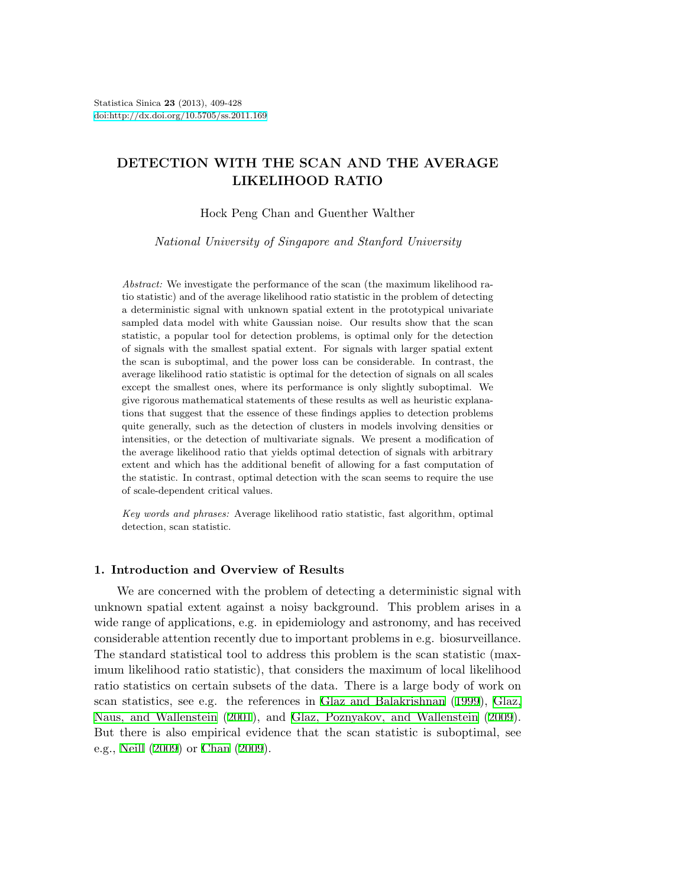# **DETECTION WITH THE SCAN AND THE AVERAGE LIKELIHOOD RATIO**

Hock Peng Chan and Guenther Walther

*National University of Singapore and Stanford University*

*Abstract:* We investigate the performance of the scan (the maximum likelihood ratio statistic) and of the average likelihood ratio statistic in the problem of detecting a deterministic signal with unknown spatial extent in the prototypical univariate sampled data model with white Gaussian noise. Our results show that the scan statistic, a popular tool for detection problems, is optimal only for the detection of signals with the smallest spatial extent. For signals with larger spatial extent the scan is suboptimal, and the power loss can be considerable. In contrast, the average likelihood ratio statistic is optimal for the detection of signals on all scales except the smallest ones, where its performance is only slightly suboptimal. We give rigorous mathematical statements of these results as well as heuristic explanations that suggest that the essence of these findings applies to detection problems quite generally, such as the detection of clusters in models involving densities or intensities, or the detection of multivariate signals. We present a modification of the average likelihood ratio that yields optimal detection of signals with arbitrary extent and which has the additional benefit of allowing for a fast computation of the statistic. In contrast, optimal detection with the scan seems to require the use of scale-dependent critical values.

*Key words and phrases:* Average likelihood ratio statistic, fast algorithm, optimal detection, scan statistic.

## **1. Introduction and Overview of Results**

We are concerned with the problem of detecting a deterministic signal with unknown spatial extent against a noisy background. This problem arises in a wide range of applications, e.g. in epidemiology and astronomy, and has received considerable attention recently due to important problems in e.g. biosurveillance. The standard statistical tool to address this problem is the scan statistic (maximum likelihood ratio statistic), that considers the maximum of local likelihood ratio statistics on certain subsets of the data. There is a large body of work on scan statistics, see e.g. the references in [Glaz and Balakrishnan](#page-19-0) [\(1999](#page-19-0)), [Glaz,](#page-19-1) [Naus, and Wallenstein](#page-19-1) [\(2001](#page-19-1)), and [Glaz, Poznyakov, and Wallenstein](#page-19-2) [\(2009](#page-19-2)). But there is also empirical evidence that the scan statistic is suboptimal, see e.g., [Neill](#page-19-3) ([2009\)](#page-19-3) or [Chan](#page-18-0) [\(2009](#page-18-0)).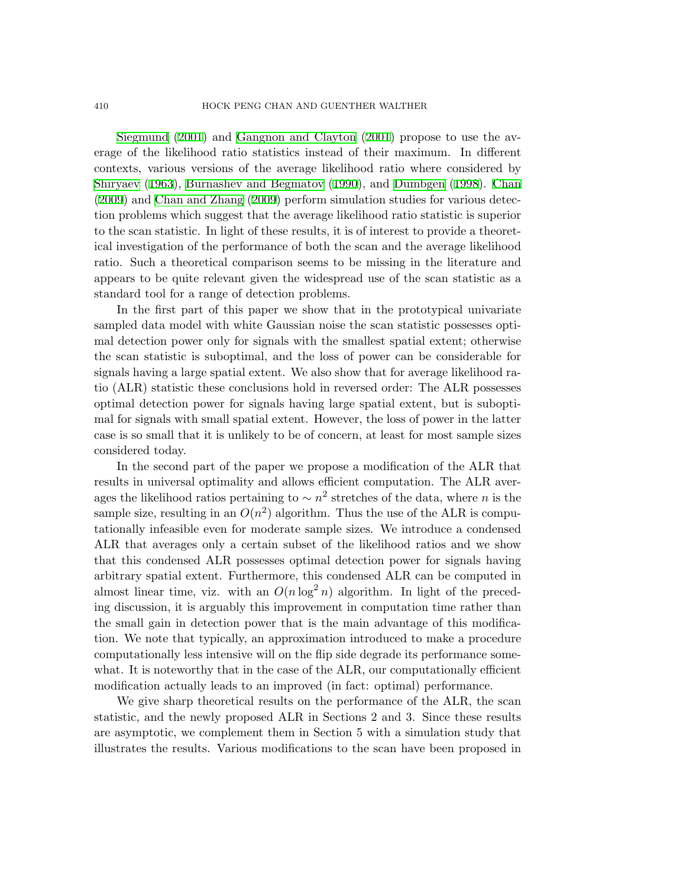#### 410 HOCK PENG CHAN AND GUENTHER WALTHER

[Siegmund](#page-19-4) [\(2001\)](#page-19-4) and [Gangnon and Clayton](#page-19-5) ([2001](#page-19-5)) propose to use the average of the likelihood ratio statistics instead of their maximum. In different contexts, various versions of the average likelihood ratio where considered by [Shiryaev](#page-19-6) ([1963\)](#page-19-6), [Burnashev and Begmatov](#page-18-1) [\(1990](#page-18-1)), and Dümbgen [\(1998](#page-18-2)). [Chan](#page-18-0) [\(2009](#page-18-0)) and [Chan and Zhang](#page-18-3) ([2009\)](#page-18-3) perform simulation studies for various detection problems which suggest that the average likelihood ratio statistic is superior to the scan statistic. In light of these results, it is of interest to provide a theoretical investigation of the performance of both the scan and the average likelihood ratio. Such a theoretical comparison seems to be missing in the literature and appears to be quite relevant given the widespread use of the scan statistic as a standard tool for a range of detection problems.

In the first part of this paper we show that in the prototypical univariate sampled data model with white Gaussian noise the scan statistic possesses optimal detection power only for signals with the smallest spatial extent; otherwise the scan statistic is suboptimal, and the loss of power can be considerable for signals having a large spatial extent. We also show that for average likelihood ratio (ALR) statistic these conclusions hold in reversed order: The ALR possesses optimal detection power for signals having large spatial extent, but is suboptimal for signals with small spatial extent. However, the loss of power in the latter case is so small that it is unlikely to be of concern, at least for most sample sizes considered today.

In the second part of the paper we propose a modification of the ALR that results in universal optimality and allows efficient computation. The ALR averages the likelihood ratios pertaining to  $\sim n^2$  stretches of the data, where *n* is the sample size, resulting in an  $O(n^2)$  algorithm. Thus the use of the ALR is computationally infeasible even for moderate sample sizes. We introduce a condensed ALR that averages only a certain subset of the likelihood ratios and we show that this condensed ALR possesses optimal detection power for signals having arbitrary spatial extent. Furthermore, this condensed ALR can be computed in almost linear time, viz. with an  $O(n \log^2 n)$  algorithm. In light of the preceding discussion, it is arguably this improvement in computation time rather than the small gain in detection power that is the main advantage of this modification. We note that typically, an approximation introduced to make a procedure computationally less intensive will on the flip side degrade its performance somewhat. It is noteworthy that in the case of the ALR, our computationally efficient modification actually leads to an improved (in fact: optimal) performance.

We give sharp theoretical results on the performance of the ALR, the scan statistic, and the newly proposed ALR in Sections 2 and 3. Since these results are asymptotic, we complement them in Section 5 with a simulation study that illustrates the results. Various modifications to the scan have been proposed in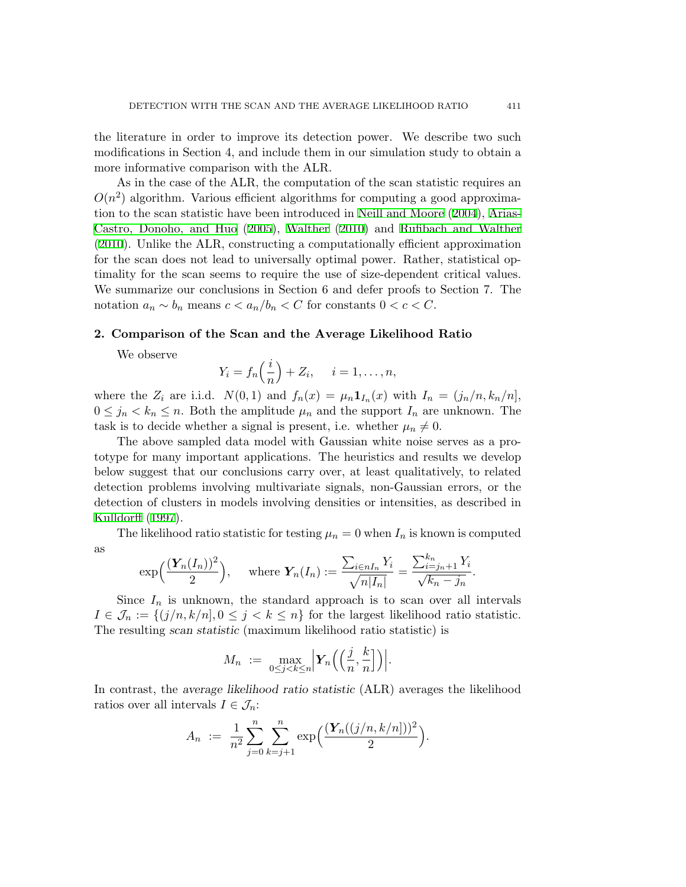the literature in order to improve its detection power. We describe two such modifications in Section 4, and include them in our simulation study to obtain a more informative comparison with the ALR.

As in the case of the ALR, the computation of the scan statistic requires an  $O(n^2)$  algorithm. Various efficient algorithms for computing a good approximation to the scan statistic have been introduced in [Neill and Moore](#page-19-7) ([2004\)](#page-19-7), [Arias-](#page-18-4)[Castro, Donoho, and Huo](#page-18-4) [\(2005\)](#page-18-4), [Walther](#page-19-8) [\(2010](#page-19-8)) and [Rufibach and Walther](#page-19-9) [\(2010](#page-19-9)). Unlike the ALR, constructing a computationally efficient approximation for the scan does not lead to universally optimal power. Rather, statistical optimality for the scan seems to require the use of size-dependent critical values. We summarize our conclusions in Section 6 and defer proofs to Section 7. The notation  $a_n \sim b_n$  means  $c < a_n/b_n < C$  for constants  $0 < c < C$ .

#### **2. Comparison of the Scan and the Average Likelihood Ratio**

We observe

$$
Y_i = f_n\left(\frac{i}{n}\right) + Z_i, \quad i = 1, \dots, n,
$$

where the  $Z_i$  are i.i.d.  $N(0,1)$  and  $f_n(x) = \mu_n \mathbf{1}_{I_n}(x)$  with  $I_n = (j_n/n, k_n/n]$ ,  $0 \leq j_n \leq k_n \leq n$ . Both the amplitude  $\mu_n$  and the support  $I_n$  are unknown. The task is to decide whether a signal is present, i.e. whether  $\mu_n \neq 0$ .

The above sampled data model with Gaussian white noise serves as a prototype for many important applications. The heuristics and results we develop below suggest that our conclusions carry over, at least qualitatively, to related detection problems involving multivariate signals, non-Gaussian errors, or the detection of clusters in models involving densities or intensities, as described in [Kulldorff](#page-19-10) ([1997](#page-19-10)).

The likelihood ratio statistic for testing  $\mu_n = 0$  when  $I_n$  is known is computed as

$$
\exp\left(\frac{(\mathbf{Y}_n(I_n))^2}{2}\right), \quad \text{where } \mathbf{Y}_n(I_n) := \frac{\sum_{i \in nI_n} Y_i}{\sqrt{n|I_n|}} = \frac{\sum_{i=j_n+1}^{k_n} Y_i}{\sqrt{k_n - j_n}}.
$$

Since  $I_n$  is unknown, the standard approach is to scan over all intervals  $I \in \mathcal{J}_n := \{(j/n, k/n], 0 \leq j < k \leq n\}$  for the largest likelihood ratio statistic. The resulting *scan statistic* (maximum likelihood ratio statistic) is

$$
M_n := \max_{0 \le j < k \le n} \left| Y_n \left( \left( \frac{j}{n}, \frac{k}{n} \right] \right) \right|.
$$

In contrast, the *average likelihood ratio statistic* (ALR) averages the likelihood ratios over all intervals  $I \in \mathcal{J}_n$ :

$$
A_n := \frac{1}{n^2} \sum_{j=0}^n \sum_{k=j+1}^n \exp\left(\frac{(\boldsymbol{Y}_n((j/n, k/n]))^2}{2}\right).
$$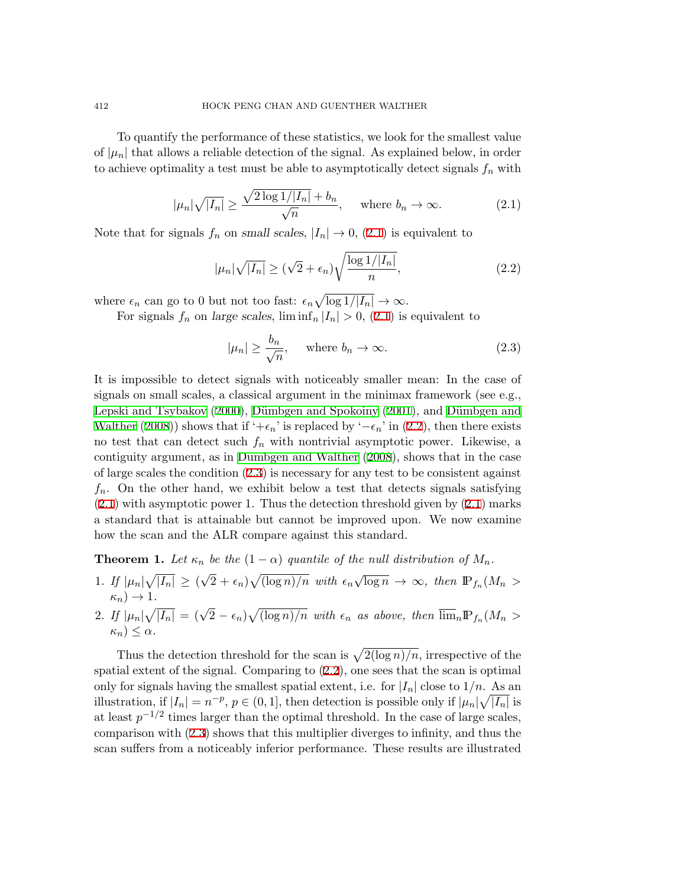<span id="page-3-0"></span>To quantify the performance of these statistics, we look for the smallest value of  $|\mu_n|$  that allows a reliable detection of the signal. As explained below, in order to achieve optimality a test must be able to asymptotically detect signals  $f_n$  with

$$
|\mu_n|\sqrt{|I_n|} \ge \frac{\sqrt{2\log 1/|I_n|} + b_n}{\sqrt{n}}, \quad \text{where } b_n \to \infty.
$$
 (2.1)

Note that for signals  $f_n$  on *small scales*,  $|I_n| \to 0$ , ([2.1](#page-3-0)) is equivalent to

<span id="page-3-1"></span>
$$
|\mu_n|\sqrt{|I_n|} \ge (\sqrt{2} + \epsilon_n)\sqrt{\frac{\log 1/|I_n|}{n}},\tag{2.2}
$$

where  $\epsilon_n$  can go to 0 but not too fast:  $\epsilon_n \sqrt{\log 1/|I_n|} \to \infty$ .

For signals  $f_n$  on *large scales*,  $\liminf_n |I_n| > 0$ , [\(2.1](#page-3-0)) is equivalent to

<span id="page-3-2"></span>
$$
|\mu_n| \ge \frac{b_n}{\sqrt{n}}, \quad \text{where } b_n \to \infty.
$$
 (2.3)

It is impossible to detect signals with noticeably smaller mean: In the case of signals on small scales, a classical argument in the minimax framework (see e.g., [Lepski and Tsybakov](#page-19-11) [\(2000](#page-19-11)), Dümbgen and Spokoiny [\(2001](#page-18-5)), and Dümbgen and [Walther](#page-19-12) [\(2008](#page-19-12))) shows that if ' $+ \epsilon_n$ ' is replaced by ' $- \epsilon_n$ ' in [\(2.2](#page-3-1)), then there exists no test that can detect such  $f_n$  with nontrivial asymptotic power. Likewise, a contiguity argument, as in Dümbgen and Walther ([2008\)](#page-19-12), shows that in the case of large scales the condition [\(2.3](#page-3-2)) is necessary for any test to be consistent against *fn*. On the other hand, we exhibit below a test that detects signals satisfying [\(2.1](#page-3-0)) with asymptotic power 1. Thus the detection threshold given by ([2.1\)](#page-3-0) marks a standard that is attainable but cannot be improved upon. We now examine how the scan and the ALR compare against this standard.

**Theorem 1.** Let  $\kappa_n$  be the  $(1 - \alpha)$  quantile of the null distribution of  $M_n$ .

1. *If*  $|\mu_n|\sqrt{|I_n|} \ge ($ *√*  $\sqrt{2} + \epsilon_n \sqrt{\log n}/n$  with  $\epsilon_n \sqrt{\log n} \to \infty$ , then  $\mathbb{P}_{f_n}(M_n >$  $\kappa_n$ )  $\rightarrow$  1*.* 

2. If 
$$
|\mu_n|\sqrt{|I_n|} = (\sqrt{2} - \epsilon_n)\sqrt{(\log n)/n}
$$
 with  $\epsilon_n$  as above, then  $\overline{\lim}_n \mathbb{P}_{f_n}(M_n > \kappa_n) \leq \alpha$ .

Thus the detection threshold for the scan is  $\sqrt{2(\log n)/n}$ , irrespective of the spatial extent of the signal. Comparing to ([2.2\)](#page-3-1), one sees that the scan is optimal only for signals having the smallest spatial extent, i.e. for  $|I_n|$  close to  $1/n$ . As an illustration, if  $|I_n| = n^{-p}$ ,  $p \in (0, 1]$ , then detection is possible only if  $|\mu_n| \sqrt{|I_n|}$  is at least  $p^{-1/2}$  times larger than the optimal threshold. In the case of large scales, comparison with [\(2.3](#page-3-2)) shows that this multiplier diverges to infinity, and thus the scan suffers from a noticeably inferior performance. These results are illustrated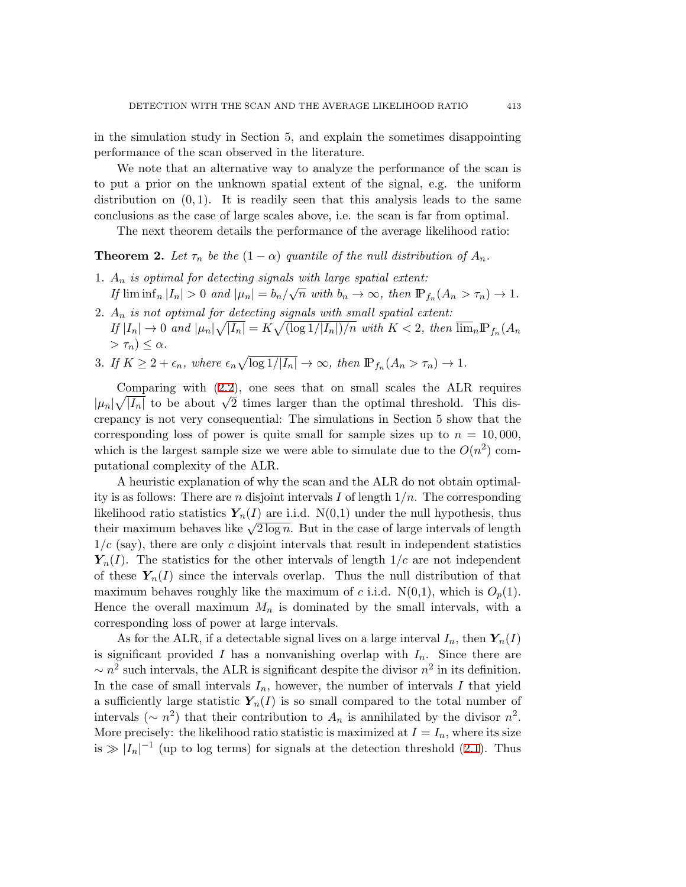in the simulation study in Section 5, and explain the sometimes disappointing performance of the scan observed in the literature.

We note that an alternative way to analyze the performance of the scan is to put a prior on the unknown spatial extent of the signal, e.g. the uniform distribution on  $(0, 1)$ . It is readily seen that this analysis leads to the same conclusions as the case of large scales above, i.e. the scan is far from optimal.

The next theorem details the performance of the average likelihood ratio:

**Theorem 2.** Let  $\tau_n$  be the  $(1 - \alpha)$  quantile of the null distribution of  $A_n$ .

- 1. *A<sup>n</sup> is optimal for detecting signals with large spatial extent:* If  $\liminf_n |I_n| > 0$  and  $|\mu_n| = b_n/\sqrt{n}$  with  $b_n \to \infty$ , then  $\mathbb{P}_{f_n}(A_n > \tau_n) \to 1$ .
- 2. *A<sup>n</sup> is not optimal for detecting signals with small spatial extent:* If  $|I_n| \to 0$  and  $|\mu_n|\sqrt{|I_n|} = K\sqrt{(\log 1/|I_n|)/n}$  with  $K < 2$ , then  $\overline{\lim}_n \mathbb{P}_{f_n}(A_n)$  $> \tau_n$ )  $\leq \alpha$ .
- 3. *If*  $K \geq 2 + \epsilon_n$ , where  $\epsilon_n \sqrt{\log 1/|I_n|} \to \infty$ , then  $\mathbb{P}_{f_n}(A_n > \tau_n) \to 1$ .

Comparing with ([2.2\)](#page-3-1), one sees that on small scales the ALR requires  $|\mu_n|\sqrt{|I_n|}$  to be about  $\sqrt{2}$  times larger than the optimal threshold. This discrepancy is not very consequential: The simulations in Section 5 show that the corresponding loss of power is quite small for sample sizes up to  $n = 10,000$ , which is the largest sample size we were able to simulate due to the  $O(n^2)$  computational complexity of the ALR.

A heuristic explanation of why the scan and the ALR do not obtain optimality is as follows: There are *n* disjoint intervals *I* of length 1*/n*. The corresponding likelihood ratio statistics  $Y_n(I)$  are i.i.d.  $N(0,1)$  under the null hypothesis, thus their maximum behaves like  $\sqrt{2 \log n}$ . But in the case of large intervals of length  $1/c$  (say), there are only *c* disjoint intervals that result in independent statistics  $Y_n(I)$ . The statistics for the other intervals of length  $1/c$  are not independent of these  $Y_n(I)$  since the intervals overlap. Thus the null distribution of that maximum behaves roughly like the maximum of *c* i.i.d.  $N(0,1)$ , which is  $O_p(1)$ . Hence the overall maximum  $M_n$  is dominated by the small intervals, with a corresponding loss of power at large intervals.

As for the ALR, if a detectable signal lives on a large interval  $I_n$ , then  $Y_n(I)$ is significant provided *I* has a nonvanishing overlap with  $I_n$ . Since there are  $\sim$  *n*<sup>2</sup> such intervals, the ALR is significant despite the divisor *n*<sup>2</sup> in its definition. In the case of small intervals  $I_n$ , however, the number of intervals  $I$  that yield a sufficiently large statistic  $Y_n(I)$  is so small compared to the total number of intervals ( $\sim n^2$ ) that their contribution to  $A_n$  is annihilated by the divisor  $n^2$ . More precisely: the likelihood ratio statistic is maximized at  $I = I_n$ , where its size is  $\gg |I_n|^{-1}$  (up to log terms) for signals at the detection threshold ([2.1](#page-3-0)). Thus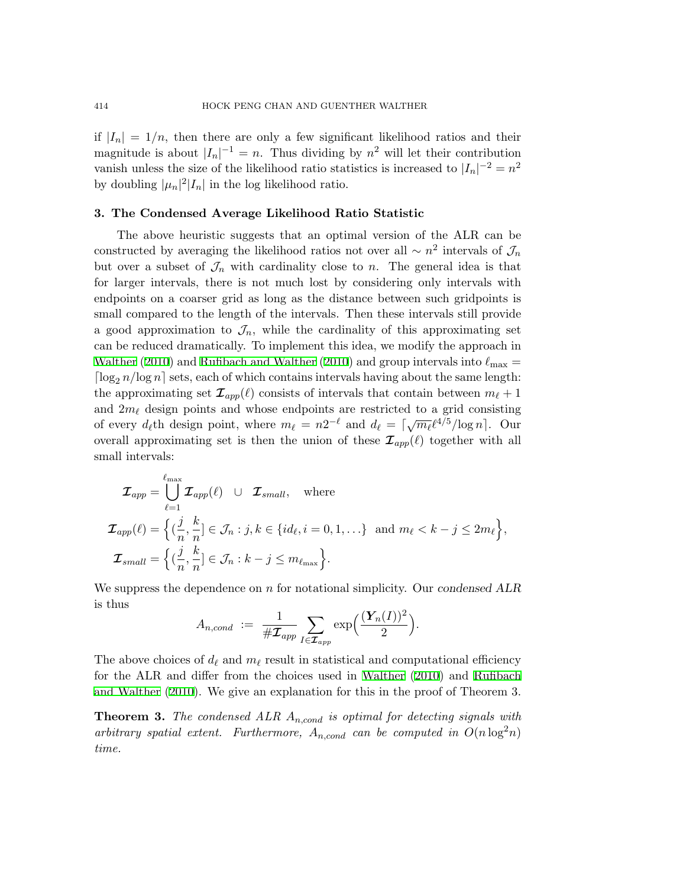if  $|I_n| = 1/n$ , then there are only a few significant likelihood ratios and their magnitude is about  $|I_n|^{-1} = n$ . Thus dividing by  $n^2$  will let their contribution vanish unless the size of the likelihood ratio statistics is increased to  $|I_n|^{-2} = n^2$ by doubling  $|\mu_n|^2 |I_n|$  in the log likelihood ratio.

## **3. The Condensed Average Likelihood Ratio Statistic**

The above heuristic suggests that an optimal version of the ALR can be constructed by averaging the likelihood ratios not over all  $\sim n^2$  intervals of  $\mathcal{J}_n$ but over a subset of  $\mathcal{J}_n$  with cardinality close to *n*. The general idea is that for larger intervals, there is not much lost by considering only intervals with endpoints on a coarser grid as long as the distance between such gridpoints is small compared to the length of the intervals. Then these intervals still provide a good approximation to  $\mathcal{J}_n$ , while the cardinality of this approximating set can be reduced dramatically. To implement this idea, we modify the approach in [Walther](#page-19-8) [\(2010](#page-19-9)) and [Rufibach and Walther](#page-19-9) (2010) and group intervals into  $\ell_{\rm max}$  =  $\lceil \log_2 n / \log n \rceil$  sets, each of which contains intervals having about the same length: the approximating set  $\mathcal{I}_{app}(\ell)$  consists of intervals that contain between  $m_{\ell}+1$ and  $2m_\ell$  design points and whose endpoints are restricted to a grid consisting of every  $d_{\ell}$ th design point, where  $m_{\ell} = n2^{-\ell}$  and  $d_{\ell} = \lceil \sqrt{m_{\ell}} \ell^{4/5}/\log n \rceil$ . Our overall approximating set is then the union of these  $\mathcal{I}_{app}(\ell)$  together with all small intervals:

$$
\mathcal{I}_{app} = \bigcup_{\ell=1}^{\ell_{\text{max}}} \mathcal{I}_{app}(\ell) \quad \cup \quad \mathcal{I}_{small}, \quad \text{where}
$$
\n
$$
\mathcal{I}_{app}(\ell) = \left\{ (\frac{j}{n}, \frac{k}{n}] \in \mathcal{J}_n : j, k \in \{id_\ell, i = 0, 1, \ldots\} \text{ and } m_\ell < k - j \le 2m_\ell \right\},
$$
\n
$$
\mathcal{I}_{small} = \left\{ (\frac{j}{n}, \frac{k}{n}] \in \mathcal{J}_n : k - j \le m_{\ell_{\text{max}}} \right\}.
$$

We suppress the dependence on *n* for notational simplicity. Our *condensed ALR* is thus

$$
A_{n,cond} := \frac{1}{\# \mathcal{I}_{app}} \sum_{I \in \mathcal{I}_{app}} \exp\left(\frac{(\boldsymbol{Y}_n(I))^2}{2}\right).
$$

The above choices of  $d_\ell$  and  $m_\ell$  result in statistical and computational efficiency for the ALR and differ from the choices used in [Walther](#page-19-8) [\(2010](#page-19-8)) and [Rufibach](#page-19-9) [and Walther](#page-19-9) [\(2010](#page-19-9)). We give an explanation for this in the proof of Theorem 3.

**Theorem 3.** *The condensed ALR An,cond is optimal for detecting signals with arbitrary spatial extent.* Furthermore,  $A_{n,cond}$  *can be computed in*  $O(n \log^2 n)$ *time.*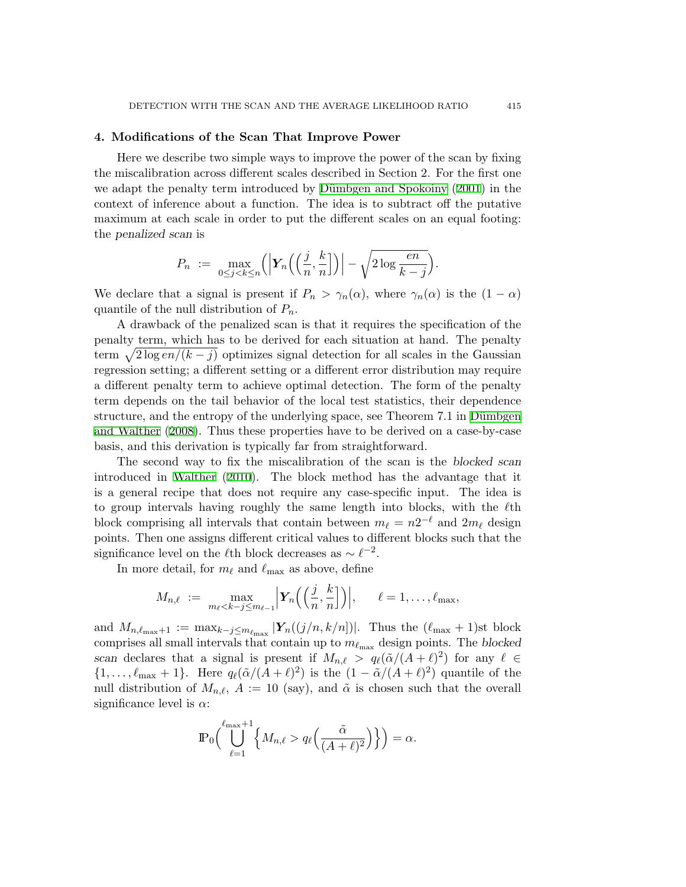## **4. Modifications of the Scan That Improve Power**

Here we describe two simple ways to improve the power of the scan by fixing the miscalibration across different scales described in Section 2. For the first one we adapt the penalty term introduced by Dümbgen and Spokoiny ([2001](#page-18-5)) in the context of inference about a function. The idea is to subtract off the putative maximum at each scale in order to put the different scales on an equal footing: the *penalized scan* is

$$
P_n := \max_{0 \le j < k \le n} \left( \left| \mathbf{Y}_n \left( \left( \frac{j}{n}, \frac{k}{n} \right] \right) \right| - \sqrt{2 \log \frac{en}{k-j}} \right).
$$

We declare that a signal is present if  $P_n > \gamma_n(\alpha)$ , where  $\gamma_n(\alpha)$  is the  $(1 - \alpha)$ quantile of the null distribution of *Pn*.

A drawback of the penalized scan is that it requires the specification of the penalty term, which has to be derived for each situation at hand. The penalty term  $\sqrt{2 \log en/(k-j)}$  optimizes signal detection for all scales in the Gaussian regression setting; a different setting or a different error distribution may require a different penalty term to achieve optimal detection. The form of the penalty term depends on the tail behavior of the local test statistics, their dependence structure, and the entropy of the underlying space, see Theorem 7.1 in Dümbgen [and Walther](#page-19-12) [\(2008](#page-19-12)). Thus these properties have to be derived on a case-by-case basis, and this derivation is typically far from straightforward.

The second way to fix the miscalibration of the scan is the *blocked scan* introduced in [Walther](#page-19-8) ([2010](#page-19-8)). The block method has the advantage that it is a general recipe that does not require any case-specific input. The idea is to group intervals having roughly the same length into blocks, with the *ℓ*th block comprising all intervals that contain between  $m_{\ell} = n2^{-\ell}$  and  $2m_{\ell}$  design points. Then one assigns different critical values to different blocks such that the significance level on the  $\ell$ <sup>th</sup> block decreases as  $\sim \ell^{-2}$ .

In more detail, for  $m_\ell$  and  $\ell_{\text{max}}$  as above, define

$$
M_{n,\ell} := \max_{m_{\ell} < k - j \le m_{\ell-1}} \left| \mathbf{Y}_n \left( \left( \frac{j}{n}, \frac{k}{n} \right) \right) \right|, \quad \ell = 1, \ldots, \ell_{\max},
$$

and  $M_{n,\ell_{\max}+1} := \max_{k-j \leq m_{\ell_{\max}}} |\mathbf{Y}_n((j/n, k/n])|$ . Thus the  $(\ell_{\max} + 1)$ st block comprises all small intervals that contain up to  $m_{\ell_{\text{max}}}$  design points. The *blocked scan* declares that a signal is present if  $M_{n,\ell} > q_\ell(\tilde{\alpha}/(A+\ell)^2)$  for any  $\ell \in$  $\{1, \ldots, \ell_{\text{max}} + 1\}$ . Here  $q_{\ell}(\tilde{\alpha}/(A+\ell)^2)$  is the  $(1 - \tilde{\alpha}/(A+\ell)^2)$  quantile of the null distribution of  $M_{n,\ell}$ ,  $A := 10$  (say), and  $\tilde{\alpha}$  is chosen such that the overall significance level is *α*:

$$
\mathbb{P}_0\Big(\bigcup_{\ell=1}^{\ell_{\max}+1}\Big\{M_{n,\ell} > q_\ell\Big(\frac{\tilde{\alpha}}{(A+\ell)^2}\Big)\Big\}\Big) = \alpha.
$$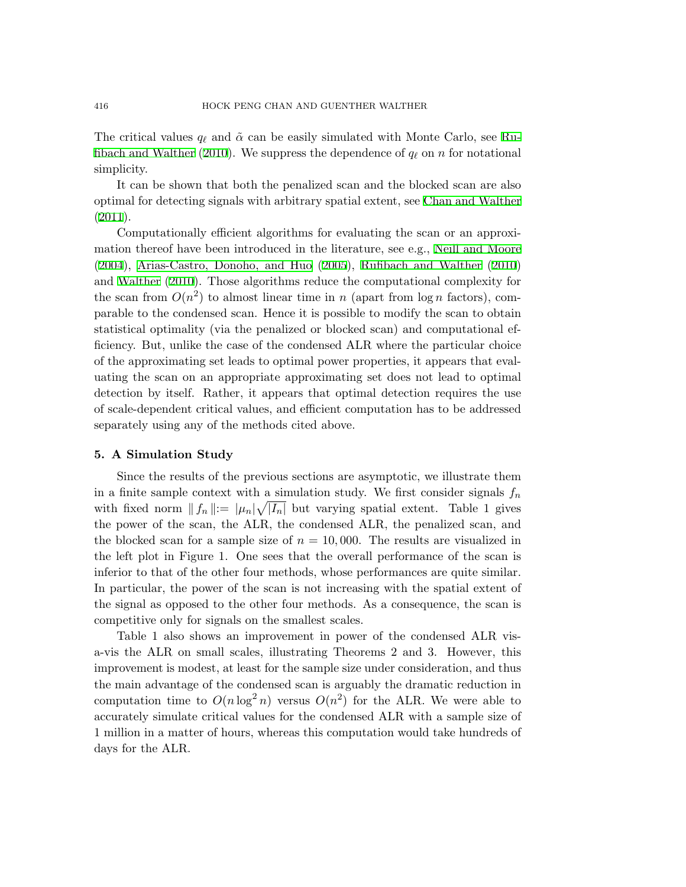The critical values *q*<sub>*ℓ*</sub> and  $\tilde{\alpha}$  can be easily simulated with Monte Carlo, see [Ru](#page-19-9)[fibach and Walther](#page-19-9) [\(2010](#page-19-9)). We suppress the dependence of  $q_\ell$  on *n* for notational simplicity.

It can be shown that both the penalized scan and the blocked scan are also optimal for detecting signals with arbitrary spatial extent, see [Chan and Walther](#page-18-6)  $(2011).$  $(2011).$ 

Computationally efficient algorithms for evaluating the scan or an approximation thereof have been introduced in the literature, see e.g., [Neill and Moore](#page-19-7) [\(2004](#page-19-7)), [Arias-Castro, Donoho, and Huo](#page-18-4) ([2005\)](#page-18-4), [Rufibach and Walther](#page-19-9) [\(2010](#page-19-9)) and [Walther](#page-19-8) [\(2010](#page-19-8)). Those algorithms reduce the computational complexity for the scan from  $O(n^2)$  to almost linear time in *n* (apart from  $log n$  factors), comparable to the condensed scan. Hence it is possible to modify the scan to obtain statistical optimality (via the penalized or blocked scan) and computational efficiency. But, unlike the case of the condensed ALR where the particular choice of the approximating set leads to optimal power properties, it appears that evaluating the scan on an appropriate approximating set does not lead to optimal detection by itself. Rather, it appears that optimal detection requires the use of scale-dependent critical values, and efficient computation has to be addressed separately using any of the methods cited above.

#### **5. A Simulation Study**

Since the results of the previous sections are asymptotic, we illustrate them in a finite sample context with a simulation study. We first consider signals  $f_n$ with fixed norm  $|| f_n || := | \mu_n | \sqrt{|I_n |}$  but varying spatial extent. Table 1 gives the power of the scan, the ALR, the condensed ALR, the penalized scan, and the blocked scan for a sample size of  $n = 10,000$ . The results are visualized in the left plot in Figure 1. One sees that the overall performance of the scan is inferior to that of the other four methods, whose performances are quite similar. In particular, the power of the scan is not increasing with the spatial extent of the signal as opposed to the other four methods. As a consequence, the scan is competitive only for signals on the smallest scales.

Table 1 also shows an improvement in power of the condensed ALR visa-vis the ALR on small scales, illustrating Theorems 2 and 3. However, this improvement is modest, at least for the sample size under consideration, and thus the main advantage of the condensed scan is arguably the dramatic reduction in computation time to  $O(n \log^2 n)$  versus  $O(n^2)$  for the ALR. We were able to accurately simulate critical values for the condensed ALR with a sample size of 1 million in a matter of hours, whereas this computation would take hundreds of days for the ALR.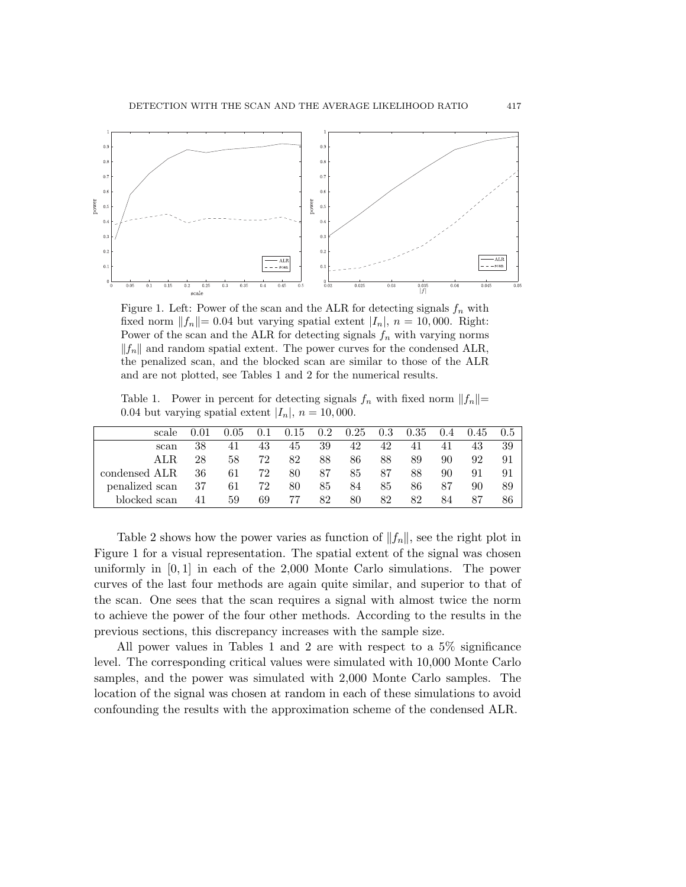

Figure 1. Left: Power of the scan and the ALR for detecting signals  $f_n$  with fixed norm  $||f_n|| = 0.04$  but varying spatial extent  $|I_n|$ ,  $n = 10,000$ . Right: Power of the scan and the ALR for detecting signals  $f_n$  with varying norms *∥fn∥* and random spatial extent. The power curves for the condensed ALR, the penalized scan, and the blocked scan are similar to those of the ALR and are not plotted, see Tables 1 and 2 for the numerical results.

Table 1. Power in percent for detecting signals  $f_n$  with fixed norm  $||f_n||=$ 0.04 but varying spatial extent  $|I_n|$ ,  $n = 10,000$ .

| scale          |    | .05 | 0.1 | 0.15 | $0.2\,$ | 0.25 | 0.3 | 0.35 | 0.4 | 0.45 | 0.5 |
|----------------|----|-----|-----|------|---------|------|-----|------|-----|------|-----|
| scan           | 38 | 41  | 43  | 45   | 39      | 42   | 42  | 41   | 41  | 43   | 39  |
| ALR.           | 28 | 58  | 72  | 82   | 88      | 86   | 88  | 89   | 90  | 92   | 91  |
| condensed ALR  | 36 | 61  | 72  | 80   | 87      | 85   | 87  | 88   | 90  | 91   | 91  |
| penalized scan | 37 | 61  | 72  | 80   | 85      | 84   | 85  | 86   | 87  | 90   | 89  |
| blocked scan   | 41 | 59  | 69  | 77   | 82      | 80   | 82  | 82   | 84  | 87   | 86  |

Table 2 shows how the power varies as function of *∥fn∥*, see the right plot in Figure 1 for a visual representation. The spatial extent of the signal was chosen uniformly in [0*,* 1] in each of the 2,000 Monte Carlo simulations. The power curves of the last four methods are again quite similar, and superior to that of the scan. One sees that the scan requires a signal with almost twice the norm to achieve the power of the four other methods. According to the results in the previous sections, this discrepancy increases with the sample size.

All power values in Tables 1 and 2 are with respect to a 5% significance level. The corresponding critical values were simulated with 10,000 Monte Carlo samples, and the power was simulated with 2,000 Monte Carlo samples. The location of the signal was chosen at random in each of these simulations to avoid confounding the results with the approximation scheme of the condensed ALR.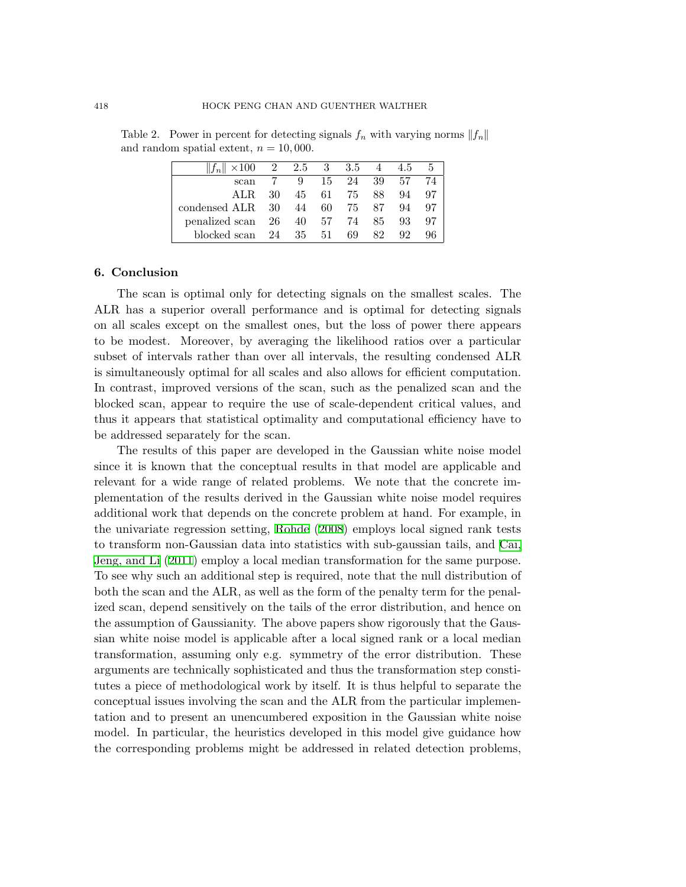| $  f_n   \times 100$ 2 2.5 3 3.5 |    |    |      |       |       | 4 4.5 |     |
|----------------------------------|----|----|------|-------|-------|-------|-----|
| scan                             |    | 9  | 15   |       | 24 39 | .57   | 74  |
| ALR.                             | 30 | 45 |      | 61 75 | 88.   | 94    | 97  |
| condensed ALR 30 44              |    |    | 60 — | 75    | -87   | 94    | -97 |
| $penalized scan$ 26 40 57        |    |    |      | -74   | 85    | 93    | -97 |
| blocked scan-                    | 24 | 35 | 51   | 69    | 82    | 92    |     |

Table 2. Power in percent for detecting signals  $f_n$  with varying norms  $||f_n||$ and random spatial extent,  $n = 10,000$ .

#### **6. Conclusion**

The scan is optimal only for detecting signals on the smallest scales. The ALR has a superior overall performance and is optimal for detecting signals on all scales except on the smallest ones, but the loss of power there appears to be modest. Moreover, by averaging the likelihood ratios over a particular subset of intervals rather than over all intervals, the resulting condensed ALR is simultaneously optimal for all scales and also allows for efficient computation. In contrast, improved versions of the scan, such as the penalized scan and the blocked scan, appear to require the use of scale-dependent critical values, and thus it appears that statistical optimality and computational efficiency have to be addressed separately for the scan.

The results of this paper are developed in the Gaussian white noise model since it is known that the conceptual results in that model are applicable and relevant for a wide range of related problems. We note that the concrete implementation of the results derived in the Gaussian white noise model requires additional work that depends on the concrete problem at hand. For example, in the univariate regression setting, [Rohde](#page-19-13) ([2008](#page-19-13)) employs local signed rank tests to transform non-Gaussian data into statistics with sub-gaussian tails, and [Cai,](#page-18-7) [Jeng, and Li](#page-18-7) ([2011](#page-18-7)) employ a local median transformation for the same purpose. To see why such an additional step is required, note that the null distribution of both the scan and the ALR, as well as the form of the penalty term for the penalized scan, depend sensitively on the tails of the error distribution, and hence on the assumption of Gaussianity. The above papers show rigorously that the Gaussian white noise model is applicable after a local signed rank or a local median transformation, assuming only e.g. symmetry of the error distribution. These arguments are technically sophisticated and thus the transformation step constitutes a piece of methodological work by itself. It is thus helpful to separate the conceptual issues involving the scan and the ALR from the particular implementation and to present an unencumbered exposition in the Gaussian white noise model. In particular, the heuristics developed in this model give guidance how the corresponding problems might be addressed in related detection problems,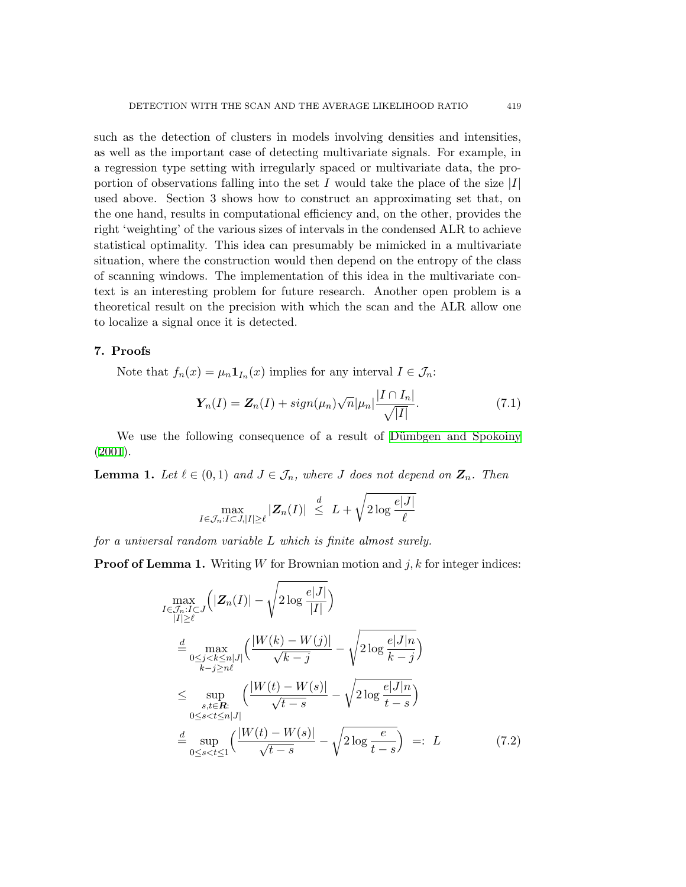such as the detection of clusters in models involving densities and intensities, as well as the important case of detecting multivariate signals. For example, in a regression type setting with irregularly spaced or multivariate data, the proportion of observations falling into the set *I* would take the place of the size *|I|* used above. Section 3 shows how to construct an approximating set that, on the one hand, results in computational efficiency and, on the other, provides the right 'weighting' of the various sizes of intervals in the condensed ALR to achieve statistical optimality. This idea can presumably be mimicked in a multivariate situation, where the construction would then depend on the entropy of the class of scanning windows. The implementation of this idea in the multivariate context is an interesting problem for future research. Another open problem is a theoretical result on the precision with which the scan and the ALR allow one to localize a signal once it is detected.

## **7. Proofs**

Note that  $f_n(x) = \mu_n \mathbf{1}_{I_n}(x)$  implies for any interval  $I \in \mathcal{J}_n$ :

<span id="page-10-0"></span>
$$
\mathbf{Y}_n(I) = \mathbf{Z}_n(I) + sign(\mu_n) \sqrt{n} |\mu_n| \frac{|I \cap I_n|}{\sqrt{|I|}}.
$$
\n(7.1)

We use the following consequence of a result of Dümbgen and Spokoiny [\(2001](#page-18-5)).

**Lemma 1.** Let  $\ell \in (0,1)$  and  $J \in \mathcal{J}_n$ , where *J* does not depend on  $\mathbf{Z}_n$ . Then

$$
\max_{I \in \mathcal{J}_n : I \subset J, |I| \ge \ell} |\mathbf{Z}_n(I)| \le \frac{d}{L} + \sqrt{2 \log \frac{e|J|}{\ell}}
$$

*for a universal random variable L which is finite almost surely.*

**Proof of Lemma 1.** Writing *W* for Brownian motion and *j*, *k* for integer indices:

<span id="page-10-1"></span>
$$
\max_{\substack{I \in \mathcal{J}_n : I \subset J \\ |I| \ge \ell}} \left( |\mathbf{Z}_n(I)| - \sqrt{2 \log \frac{e|J|}{|I|}} \right)
$$
\n
$$
\stackrel{d}{=} \max_{\substack{0 \le j < k \le n |J| \\ k - j \ge n\ell}} \left( \frac{|W(k) - W(j)|}{\sqrt{k - j}} - \sqrt{2 \log \frac{e|J|n}{k - j}} \right)
$$
\n
$$
\le \sup_{\substack{s, t \in \mathbf{R}: \\ 0 \le s < t \le n |J|}} \left( \frac{|W(t) - W(s)|}{\sqrt{t - s}} - \sqrt{2 \log \frac{e|J|n}{t - s}} \right)
$$
\n
$$
\stackrel{d}{=} \sup_{0 \le s < t \le 1} \left( \frac{|W(t) - W(s)|}{\sqrt{t - s}} - \sqrt{2 \log \frac{e}{t - s}} \right) =: L \tag{7.2}
$$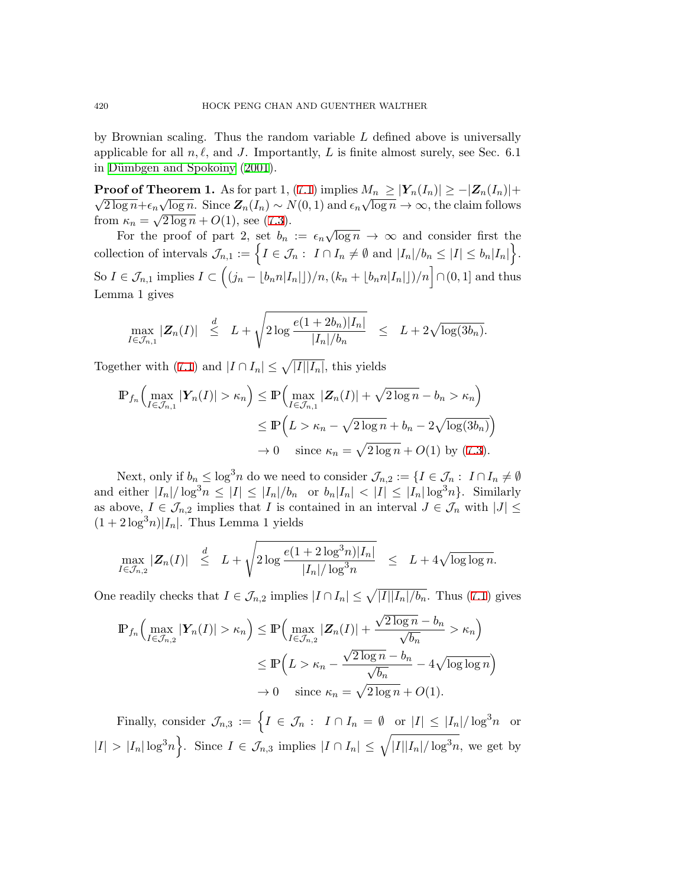by Brownian scaling. Thus the random variable *L* defined above is universally applicable for all  $n, \ell$ , and *J*. Importantly, *L* is finite almost surely, see Sec. 6.1 in Dümbgen and Spokoiny [\(2001](#page-18-5)).

**Proof of Theorem 1.** As for part 1, ([7.1](#page-10-0)) implies  $M_n \ge |Y_n(I_n)| \ge -|Z_n(I_n)| +$  $\frac{1}{2 \log n} + \epsilon_n \sqrt{\log n}$ . Since  $\mathbb{Z}_n(I_n) \sim N(0, 1)$  and  $\epsilon_n \sqrt{\log n} \to \infty$ , the claim follows from  $\kappa_n = \sqrt{2 \log n} + O(1)$ , see [\(7.3](#page-12-0)).

For the proof of part 2, set  $b_n := \epsilon_n \sqrt{\log n} \to \infty$  and consider first the collection of intervals  $\mathcal{J}_{n,1} := \left\{ I \in \mathcal{J}_n : I \cap I_n \neq \emptyset \text{ and } |I_n|/b_n \leq |I| \leq b_n |I_n| \right\}.$ So  $I \in \mathcal{J}_{n,1}$  implies  $I \subset ((j_n - \lfloor b_n n |I_n| \rfloor)/n, (k_n + \lfloor b_n n |I_n| \rfloor)/n \rceil \cap (0,1]$  and thus Lemma 1 gives

$$
\max_{I \in \mathcal{J}_{n,1}} |\mathbf{Z}_n(I)| \leq L + \sqrt{2 \log \frac{e(1+2b_n)|I_n|}{|I_n|/b_n}} \leq L + 2\sqrt{\log(3b_n)}.
$$

Together with ([7.1\)](#page-10-0) and  $|I \cap I_n| \leq \sqrt{|I||I_n|}$ , this yields

$$
\mathbb{P}_{f_n}\Big(\max_{I \in \mathcal{J}_{n,1}} |\mathbf{Y}_n(I)| > \kappa_n\Big) \le \mathbb{P}\Big(\max_{I \in \mathcal{J}_{n,1}} |\mathbf{Z}_n(I)| + \sqrt{2\log n} - b_n > \kappa_n\Big)
$$
  

$$
\le \mathbb{P}\Big(L > \kappa_n - \sqrt{2\log n} + b_n - 2\sqrt{\log(3b_n)}\Big)
$$
  

$$
\to 0 \quad \text{since } \kappa_n = \sqrt{2\log n} + O(1) \text{ by (7.3)}.
$$

Next, only if  $b_n \le \log^3 n$  do we need to consider  $\mathcal{J}_{n,2} := \{I \in \mathcal{J}_n : I \cap I_n \neq \emptyset\}$ and either  $|I_n|/\log^3 n \leq |I| \leq |I_n|/b_n$  or  $b_n|I_n| < |I| \leq |I_n| \log^3 n$ . Similarly as above,  $I \in \mathcal{J}_{n,2}$  implies that *I* is contained in an interval  $J \in \mathcal{J}_n$  with  $|J| \leq$  $(1 + 2 \log^3 n)|I_n|$ . Thus Lemma 1 yields

$$
\max_{I \in \mathcal{J}_{n,2}} |\mathbf{Z}_n(I)| \leq L + \sqrt{2 \log \frac{e(1+2 \log^3 n)|I_n|}{|I_n|/\log^3 n}} \leq L + 4\sqrt{\log \log n}.
$$

One readily checks that  $I \in \mathcal{J}_{n,2}$  implies  $|I \cap I_n| \leq \sqrt{|I||I_n|/b_n}$ . Thus ([7.1\)](#page-10-0) gives

$$
\mathbb{P}_{f_n}\Big(\max_{I \in \mathcal{J}_{n,2}} |\mathbf{Y}_n(I)| > \kappa_n\Big) \le \mathbb{P}\Big(\max_{I \in \mathcal{J}_{n,2}} |\mathbf{Z}_n(I)| + \frac{\sqrt{2\log n} - b_n}{\sqrt{b_n}} > \kappa_n\Big)
$$
  

$$
\le \mathbb{P}\Big(L > \kappa_n - \frac{\sqrt{2\log n} - b_n}{\sqrt{b_n}} - 4\sqrt{\log\log n}\Big)
$$
  

$$
\to 0 \quad \text{since } \kappa_n = \sqrt{2\log n} + O(1).
$$

Finally, consider  $\mathcal{J}_{n,3} := \left\{ I \in \mathcal{J}_n : I \cap I_n = \emptyset \text{ or } |I| \leq |I_n|/\log^3 n \text{ or } 0 \right\}$  $|I| > |I_n| \log^3 n$ . Since  $I \in \mathcal{J}_{n,3}$  implies  $|I \cap I_n| \leq \sqrt{|I||I_n|/\log^3 n}$ , we get by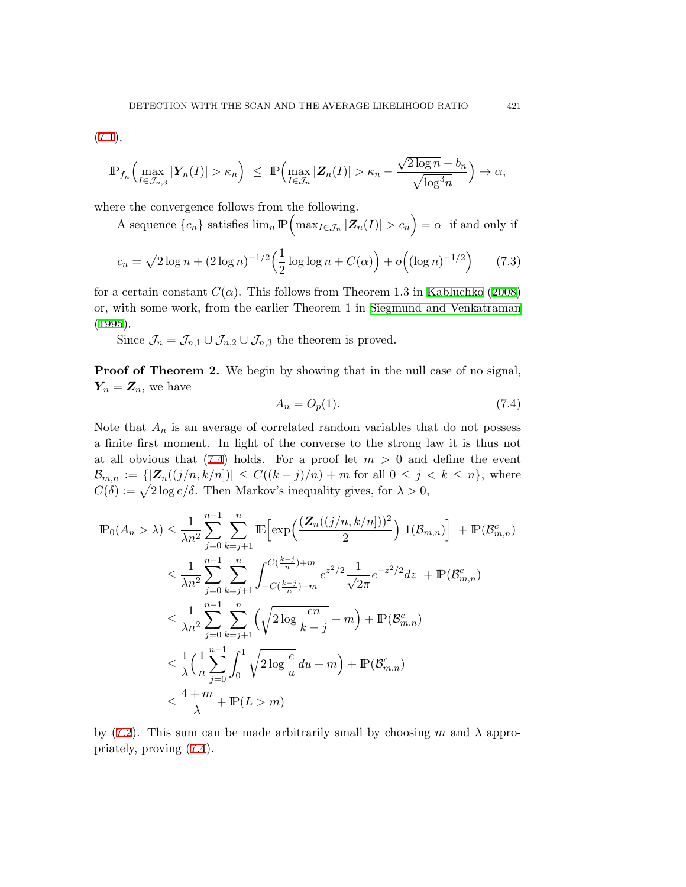$(7.1),$  $(7.1),$ 

$$
\mathbb{P}_{f_n}\Big(\max_{I\in\mathcal{J}_{n,3}}|\boldsymbol{Y}_n(I)|>\kappa_n\Big)\ \leq\ \mathbb{P}\Big(\max_{I\in\mathcal{J}_n}|\boldsymbol{Z}_n(I)|>\kappa_n-\frac{\sqrt{2\log n}-b_n}{\sqrt{\log^3 n}}\Big)\to\alpha,
$$

where the convergence follows from the following.

A sequence  $\{c_n\}$  satisfies  $\lim_n \mathbb{P}\left(\max_{I \in \mathcal{J}_n} |\mathbf{Z}_n(I)| > c_n\right) = \alpha$  if and only if

$$
c_n = \sqrt{2 \log n} + (2 \log n)^{-1/2} \left(\frac{1}{2} \log \log n + C(\alpha)\right) + o\left((\log n)^{-1/2}\right) \tag{7.3}
$$

for a certain constant  $C(\alpha)$ . This follows from Theorem 1.3 in [Kabluchko](#page-19-14) [\(2008](#page-19-14)) or, with some work, from the earlier Theorem 1 in [Siegmund and Venkatraman](#page-19-15) [\(1995](#page-19-15)).

Since  $\mathcal{J}_n = \mathcal{J}_{n,1} \cup \mathcal{J}_{n,2} \cup \mathcal{J}_{n,3}$  the theorem is proved.

**Proof of Theorem 2.** We begin by showing that in the null case of no signal,  $Y_n = Z_n$ , we have

<span id="page-12-1"></span><span id="page-12-0"></span>
$$
A_n = O_p(1). \tag{7.4}
$$

Note that  $A_n$  is an average of correlated random variables that do not possess a finite first moment. In light of the converse to the strong law it is thus not at all obvious that  $(7.4)$  $(7.4)$  holds. For a proof let  $m > 0$  and define the event  $B_{m,n} := \{ |Z_n((j/n, k/n])| \leq C((k-j)/n) + m \text{ for all } 0 \leq j < k \leq n \}, \text{ where }$  $C(\delta) := \sqrt{2 \log e/\delta}$ . Then Markov's inequality gives, for  $\lambda > 0$ ,

$$
\mathbb{P}_{0}(A_{n} > \lambda) \leq \frac{1}{\lambda n^{2}} \sum_{j=0}^{n-1} \sum_{k=j+1}^{n} \mathbb{E} \Big[ \exp \Big( \frac{(\mathbb{Z}_{n}((j/n, k/n]))^{2}}{2} \Big) \mathbb{1}(\mathcal{B}_{m,n}) \Big] + \mathbb{P}(\mathcal{B}_{m,n}^{c})
$$
  
\n
$$
\leq \frac{1}{\lambda n^{2}} \sum_{j=0}^{n-1} \sum_{k=j+1}^{n} \int_{-C(\frac{k-j}{n})+m}^{C(\frac{k-j}{n})+m} e^{z^{2}/2} \frac{1}{\sqrt{2\pi}} e^{-z^{2}/2} dz + \mathbb{P}(\mathcal{B}_{m,n}^{c})
$$
  
\n
$$
\leq \frac{1}{\lambda n^{2}} \sum_{j=0}^{n-1} \sum_{k=j+1}^{n} \Big( \sqrt{2 \log \frac{en}{k-j}} + m \Big) + \mathbb{P}(\mathcal{B}_{m,n}^{c})
$$
  
\n
$$
\leq \frac{1}{\lambda} \Big( \frac{1}{n} \sum_{j=0}^{n-1} \int_{0}^{1} \sqrt{2 \log \frac{e}{u}} du + m \Big) + \mathbb{P}(\mathcal{B}_{m,n}^{c})
$$
  
\n
$$
\leq \frac{4+m}{\lambda} + \mathbb{P}(L > m)
$$

by ([7.2\)](#page-10-1). This sum can be made arbitrarily small by choosing  $m$  and  $\lambda$  appropriately, proving ([7.4](#page-12-1)).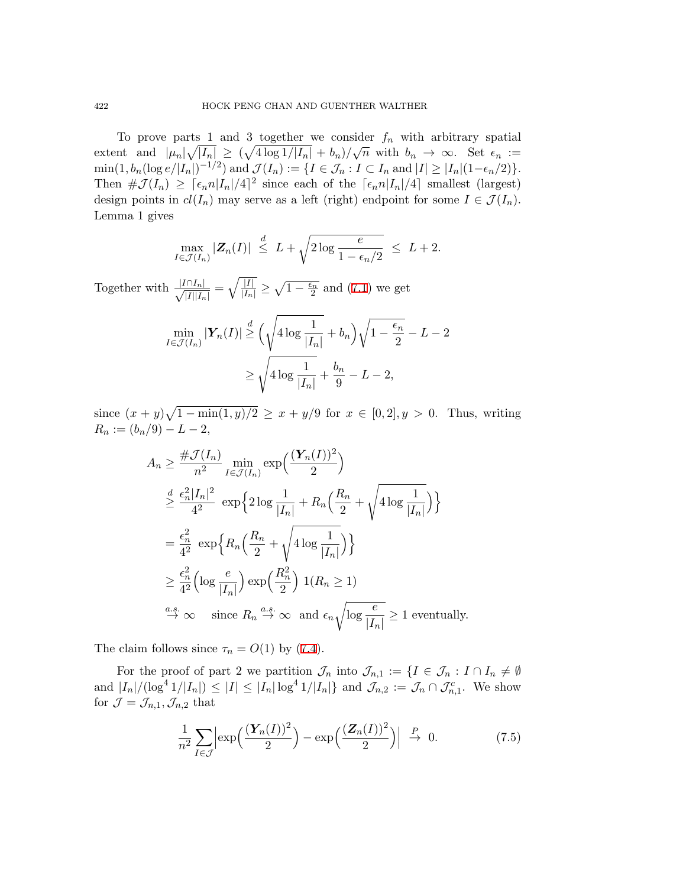To prove parts 1 and 3 together we consider  $f_n$  with arbitrary spatial extent and  $|\mu_n|\sqrt{|I_n|} \ge (\sqrt{4 \log 1/|I_n|} + b_n)/\sqrt{n}$  with  $b_n \to \infty$ . Set  $\epsilon_n :=$  $\min(1, b_n(\log e/|I_n|)^{-1/2})$  and  $\mathcal{J}(I_n) := \{I \in \mathcal{J}_n : I \subset I_n \text{ and } |I| \geq |I_n|(1-\epsilon_n/2)\}.$ Then  $\#\mathcal{J}(I_n) \geq \lceil \epsilon_n n |I_n|/4 \rceil^2$  since each of the  $\lceil \epsilon_n n |I_n|/4 \rceil$  smallest (largest) design points in  $cl(I_n)$  may serve as a left (right) endpoint for some  $I \in \mathcal{J}(I_n)$ . Lemma 1 gives

$$
\max_{I \in \mathcal{J}(I_n)} |\mathbf{Z}_n(I)| \leq L + \sqrt{2 \log \frac{e}{1 - \epsilon_n/2}} \leq L + 2.
$$

 $\frac{|I \cap I_n|}{\sqrt{|I|}$ *|I||In|*  $=\sqrt{\frac{|I|}{|I_n|}} \ge \sqrt{1-\frac{\epsilon_n}{2}}$  and [\(7.1](#page-10-0)) we get

$$
\min_{I \in \mathcal{J}(I_n)} |\mathbf{Y}_n(I)| \geq \left(\sqrt{4 \log \frac{1}{|I_n|}} + b_n\right) \sqrt{1 - \frac{\epsilon_n}{2}} - L - 2
$$

$$
\geq \sqrt{4 \log \frac{1}{|I_n|} + \frac{b_n}{9} - L - 2},
$$

since  $(x + y)\sqrt{1 - \min(1, y)/2} \ge x + y/9$  for  $x \in [0, 2], y > 0$ . Thus, writing  $R_n := (b_n/9) - L - 2,$ 

$$
A_n \geq \frac{\#\mathcal{J}(I_n)}{n^2} \min_{I \in \mathcal{J}(I_n)} \exp\left(\frac{(\mathbf{Y}_n(I))^2}{2}\right)
$$
  
\n
$$
\geq \frac{\epsilon_n^2 |I_n|^2}{4^2} \exp\left\{2 \log \frac{1}{|I_n|} + R_n \left(\frac{R_n}{2} + \sqrt{4 \log \frac{1}{|I_n|}}\right)\right\}
$$
  
\n
$$
= \frac{\epsilon_n^2}{4^2} \exp\left\{R_n \left(\frac{R_n}{2} + \sqrt{4 \log \frac{1}{|I_n|}}\right)\right\}
$$
  
\n
$$
\geq \frac{\epsilon_n^2}{4^2} \left(\log \frac{e}{|I_n|}\right) \exp\left(\frac{R_n^2}{2}\right) \mathbf{1}(R_n \geq 1)
$$
  
\n
$$
\stackrel{a.s.}{\to} \infty \text{ since } R_n \stackrel{a.s.}{\to} \infty \text{ and } \epsilon_n \sqrt{\log \frac{e}{|I_n|}} \geq 1 \text{ eventually.}
$$

The claim follows since  $\tau_n = O(1)$  by ([7.4](#page-12-1)).

For the proof of part 2 we partition  $\mathcal{J}_n$  into  $\mathcal{J}_{n,1} := \{I \in \mathcal{J}_n : I \cap I_n \neq \emptyset\}$ and  $|I_n|/(\log^4 1/|I_n|) \leq |I| \leq |I_n| \log^4 1/|I_n|$  and  $\mathcal{J}_{n,2} := \mathcal{J}_n \cap \mathcal{J}_{n,1}^c$ . We show for  $\mathcal{J} = \mathcal{J}_{n,1}, \mathcal{J}_{n,2}$  that

<span id="page-13-0"></span>
$$
\frac{1}{n^2} \sum_{I \in \mathcal{J}} \left| \exp\left(\frac{(\boldsymbol{Y}_n(I))^2}{2}\right) - \exp\left(\frac{(\boldsymbol{Z}_n(I))^2}{2}\right) \right| \overset{P}{\to} 0. \tag{7.5}
$$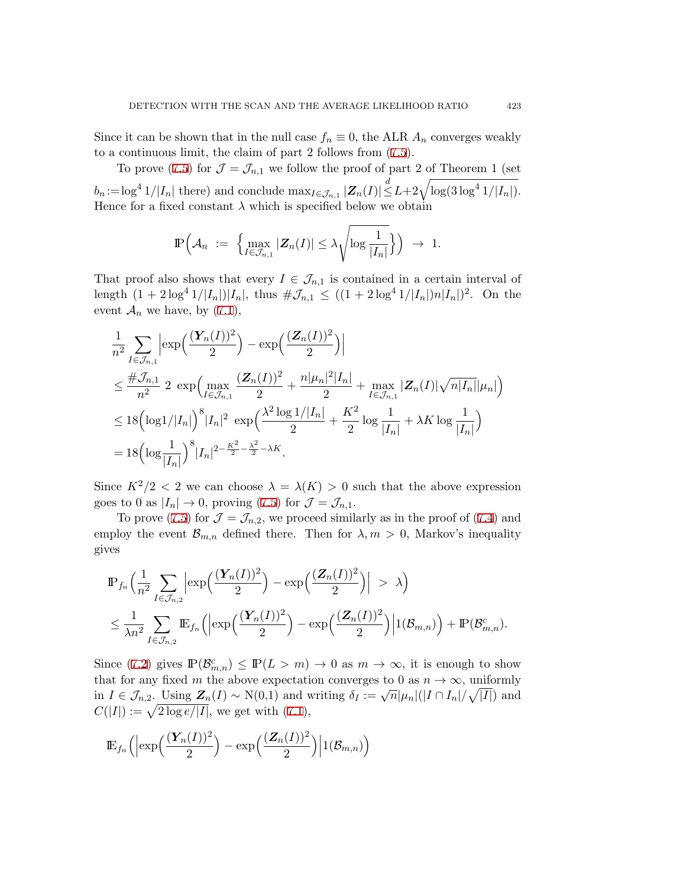Since it can be shown that in the null case  $f_n \equiv 0$ , the ALR  $A_n$  converges weakly to a continuous limit, the claim of part 2 follows from ([7.5\)](#page-13-0).

To prove ([7.5\)](#page-13-0) for  $\mathcal{J} = \mathcal{J}_{n,1}$  we follow the proof of part 2 of Theorem 1 (set  $b_n := \log^4 1/|I_n|$  there) and conclude  $\max_{I \in \mathcal{J}_{n,1}} |\mathbf{Z}_n(I)| \leq L + 2\sqrt{\log(3\log^4 1/|I_n|)}$ . Hence for a fixed constant  $\lambda$  which is specified below we obtain

$$
\mathbb{P}\Big(\mathcal{A}_n \ := \ \Big\{\max_{I\in\mathcal{J}_{n,1}}|\boldsymbol{Z}_n(I)|\leq \lambda \sqrt{\log \frac{1}{|I_n|}}\Big\}\Big) \ \to \ 1.
$$

That proof also shows that every  $I \in \mathcal{J}_{n,1}$  is contained in a certain interval of length  $(1 + 2\log^4 1/|I_n|)|I_n|$ , thus  $\#\mathcal{J}_{n,1} \leq ((1 + 2\log^4 1/|I_n|)n|I_n|)^2$ . On the event  $\mathcal{A}_n$  we have, by [\(7.1](#page-10-0)),

$$
\frac{1}{n^2} \sum_{I \in \mathcal{J}_{n,1}} \left| \exp\left(\frac{(\boldsymbol{Y}_n(I))^2}{2}\right) - \exp\left(\frac{(\boldsymbol{Z}_n(I))^2}{2}\right) \right|
$$
\n
$$
\leq \frac{\#\mathcal{J}_{n,1}}{n^2} \cdot 2 \cdot \exp\left(\max_{I \in \mathcal{J}_{n,1}} \frac{(\boldsymbol{Z}_n(I))^2}{2} + \frac{n|\mu_n|^2|I_n|}{2} + \max_{I \in \mathcal{J}_{n,1}} |\boldsymbol{Z}_n(I)|\sqrt{n|I_n|}|\mu_n|\right)
$$
\n
$$
\leq 18 \left(\log 1/|I_n|\right)^8 |I_n|^2 \cdot \exp\left(\frac{\lambda^2 \log 1/|I_n|}{2} + \frac{K^2}{2} \log \frac{1}{|I_n|} + \lambda K \log \frac{1}{|I_n|}\right)
$$
\n
$$
= 18 \left(\log \frac{1}{|I_n|}\right)^8 |I_n|^{2 - \frac{K^2}{2} - \frac{\lambda^2}{2} - \lambda K}.
$$

Since  $K^2/2 < 2$  we can choose  $\lambda = \lambda(K) > 0$  such that the above expression goes to 0 as  $|I_n| \to 0$ , proving ([7.5\)](#page-13-0) for  $\mathcal{J} = \mathcal{J}_{n,1}$ .

To prove ([7.5\)](#page-13-0) for  $\mathcal{J} = \mathcal{J}_{n,2}$ , we proceed similarly as in the proof of ([7.4](#page-12-1)) and employ the event  $\mathcal{B}_{m,n}$  defined there. Then for  $\lambda, m > 0$ , Markov's inequality gives

$$
\mathbb{P}_{f_n}\Big(\frac{1}{n^2}\sum_{I\in\mathcal{J}_{n,2}}\Big|\exp\Big(\frac{(\boldsymbol{Y}_n(I))^2}{2}\Big)-\exp\Big(\frac{(\boldsymbol{Z}_n(I))^2}{2}\Big)\Big| > \lambda\Big)
$$
  

$$
\leq \frac{1}{\lambda n^2}\sum_{I\in\mathcal{J}_{n,2}}\mathbb{E}_{f_n}\Big(\Big|\exp\Big(\frac{(\boldsymbol{Y}_n(I))^2}{2}\Big)-\exp\Big(\frac{(\boldsymbol{Z}_n(I))^2}{2}\Big)\Big|1(\mathcal{B}_{m,n})\Big)+\mathbb{P}(\mathcal{B}_{m,n}^c).
$$

Since [\(7.2](#page-10-1)) gives  $\mathbb{P}(\mathcal{B}_{m,n}^c) \leq \mathbb{P}(L > m) \to 0$  as  $m \to \infty$ , it is enough to show that for any fixed *m* the above expectation converges to 0 as  $n \to \infty$ , uniformly in  $I \in \mathcal{J}_{n,2}$ . Using  $\mathbf{Z}_n(I) \sim N(0,1)$  and writing  $\delta_I := \sqrt{n} |\mu_n|(|I \cap I_n|/\sqrt{|I|})$  and  $C(|I|) := \sqrt{2 \log e / |I|}$ , we get with ([7.1\)](#page-10-0),

<span id="page-14-0"></span>
$$
\mathbb{E}_{f_n}\Big(\Bigl|\exp\Bigl(\frac{(\boldsymbol{Y}_n(I))^2}{2}\Bigr)-\exp\Bigl(\frac{(\boldsymbol{Z}_n(I))^2}{2}\Bigr)\Bigr|1(\mathcal{B}_{m,n})\Bigr)
$$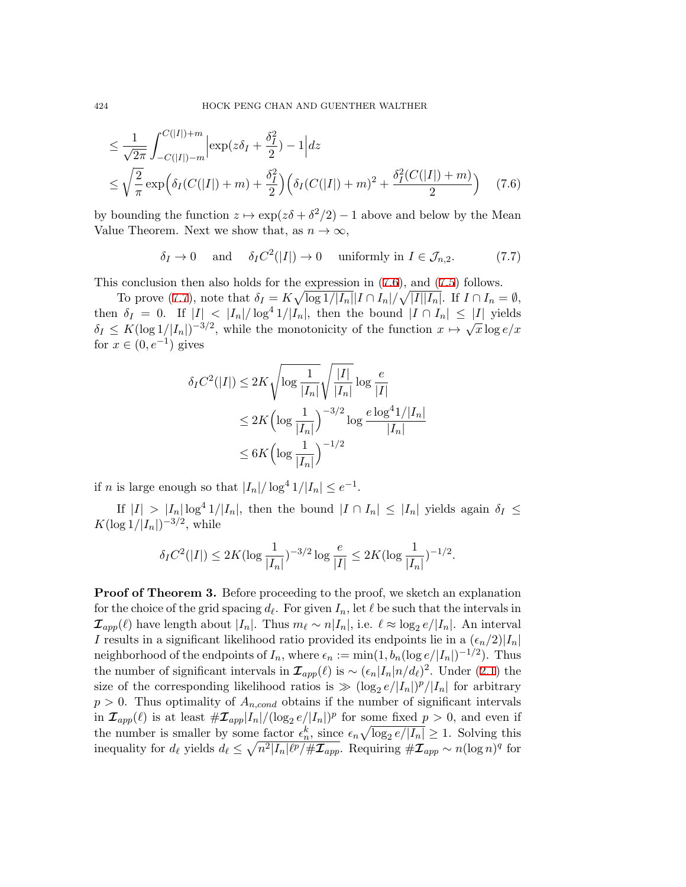$$
\leq \frac{1}{\sqrt{2\pi}} \int_{-C(|I|)-m}^{C(|I|)+m} \left| \exp(z\delta_I + \frac{\delta_I^2}{2}) - 1 \right| dz
$$
  

$$
\leq \sqrt{\frac{2}{\pi}} \exp\left(\delta_I(C(|I|)+m) + \frac{\delta_I^2}{2}\right) \left(\delta_I(C(|I|)+m)^2 + \frac{\delta_I^2(C(|I|)+m)}{2}\right) \quad (7.6)
$$

by bounding the function  $z \mapsto \exp(z\delta + \delta^2/2) - 1$  above and below by the Mean Value Theorem. Next we show that, as  $n \to \infty$ ,

<span id="page-15-0"></span>
$$
\delta_I \to 0
$$
 and  $\delta_I C^2(|I|) \to 0$  uniformly in  $I \in \mathcal{J}_{n,2}$ . (7.7)

This conclusion then also holds for the expression in ([7.6\)](#page-14-0), and [\(7.5](#page-13-0)) follows.

To prove [\(7.7](#page-15-0)), note that  $\delta_I = K \sqrt{\log 1/|I_n|} |I \cap I_n| / \sqrt{|I||I_n|}$ . If  $I \cap I_n = \emptyset$ , then  $\delta_I = 0$ . If  $|I| < |I_n|/\log^4 1/|I_n|$ , then the bound  $|I \cap I_n| \leq |I|$  yields  $\delta_I \leq K(\log 1/|I_n|)^{-3/2}$ , while the monotonicity of the function  $x \mapsto \sqrt{x} \log e/x$ for  $x \in (0, e^{-1})$  gives

$$
\delta_I C^2(|I|) \le 2K \sqrt{\log \frac{1}{|I_n|}} \sqrt{\frac{|I|}{|I_n|}} \log \frac{e}{|I|}
$$
  

$$
\le 2K \left( \log \frac{1}{|I_n|} \right)^{-3/2} \log \frac{e \log^4 1/|I_n|}{|I_n|}
$$
  

$$
\le 6K \left( \log \frac{1}{|I_n|} \right)^{-1/2}
$$

if *n* is large enough so that  $|I_n| / \log^4 1 / |I_n| \le e^{-1}$ .

If  $|I| > |I_n| \log^4 1/|I_n|$ , then the bound  $|I \cap I_n| \leq |I_n|$  yields again  $\delta_I \leq$ *K*(log  $1/|I_n|$ )<sup>-3/2</sup>, while

$$
\delta_I C^2(|I|) \le 2K (\log \frac{1}{|I_n|})^{-3/2} \log \frac{e}{|I|} \le 2K (\log \frac{1}{|I_n|})^{-1/2}.
$$

**Proof of Theorem 3.** Before proceeding to the proof, we sketch an explanation for the choice of the grid spacing  $d_{\ell}$ . For given  $I_n$ , let  $\ell$  be such that the intervals in  $\mathcal{I}_{app}(\ell)$  have length about  $|I_n|$ . Thus  $m_{\ell} \sim n|I_n|$ , i.e.  $\ell \approx \log_2 e/|I_n|$ . An interval *I* results in a significant likelihood ratio provided its endpoints lie in a  $(\epsilon_n/2)|I_n|$ neighborhood of the endpoints of  $I_n$ , where  $\epsilon_n := \min(1, b_n (\log e/|I_n|)^{-1/2})$ . Thus the number of significant intervals in  $\mathcal{I}_{app}(\ell)$  is  $\sim (\epsilon_n |I_n| n/d_\ell)^2$ . Under ([2.1](#page-3-0)) the size of the corresponding likelihood ratios is  $\gg (\log_2 e/|I_n|)^p/|I_n|$  for arbitrary  $p > 0$ . Thus optimality of  $A_{n,cond}$  obtains if the number of significant intervals in  $\mathcal{I}_{app}(\ell)$  is at least  $\#\mathcal{I}_{app}|I_n|/(\log_2 e/|I_n|)^p$  for some fixed  $p > 0$ , and even if the number is smaller by some factor  $\epsilon_n^k$ , since  $\epsilon_n \sqrt{\log_2 e/|I_n|} \geq 1$ . Solving this inequality for  $d_{\ell}$  yields  $d_{\ell} \leq \sqrt{n^2 |I_n| \ell^p / \# \mathcal{I}_{app}}$ . Requiring  $\# \mathcal{I}_{app} \sim n (\log n)^q$  for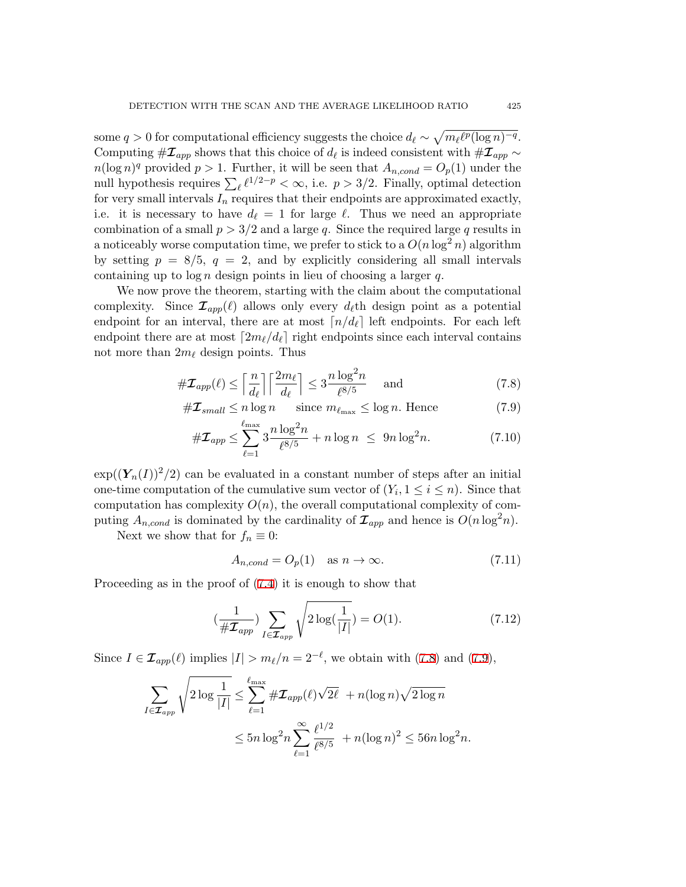some  $q > 0$  for computational efficiency suggests the choice  $d_{\ell} \sim \sqrt{m_{\ell} \ell^{p} (\log n)^{-q}}$ . Computing  $\#\mathcal{I}_{app}$  shows that this choice of  $d_{\ell}$  is indeed consistent with  $\#\mathcal{I}_{app}$  ~  $n(\log n)^q$  provided  $p > 1$ . Further, it will be seen that  $A_{n,cond} = O_p(1)$  under the null hypothesis requires  $\sum_{\ell} \ell^{1/2-p} < \infty$ , i.e.  $p > 3/2$ . Finally, optimal detection for very small intervals  $I_n$  requires that their endpoints are approximated exactly, i.e. it is necessary to have  $d_{\ell} = 1$  for large  $\ell$ . Thus we need an appropriate combination of a small  $p > 3/2$  and a large *q*. Since the required large *q* results in a noticeably worse computation time, we prefer to stick to a  $O(n \log^2 n)$  algorithm by setting  $p = 8/5$ ,  $q = 2$ , and by explicitly considering all small intervals containing up to log *n* design points in lieu of choosing a larger *q*.

We now prove the theorem, starting with the claim about the computational complexity. Since  $\mathcal{I}_{app}(\ell)$  allows only every  $d_{\ell}$ th design point as a potential endpoint for an interval, there are at most  $\lceil n/d_\ell \rceil$  left endpoints. For each left endpoint there are at most  $[2m_{\ell}/d_{\ell}]$  right endpoints since each interval contains not more than 2*m<sup>ℓ</sup>* design points. Thus

$$
\#\mathcal{I}_{app}(\ell) \le \left\lceil \frac{n}{d_{\ell}} \right\rceil \left\lceil \frac{2m_{\ell}}{d_{\ell}} \right\rceil \le 3 \frac{n \log^2 n}{\ell^{8/5}} \quad \text{and} \tag{7.8}
$$

<span id="page-16-0"></span>
$$
\#\mathcal{I}_{small} \le n \log n \qquad \text{since } m_{\ell_{\text{max}}} \le \log n. \text{ Hence} \tag{7.9}
$$

$$
\#\mathcal{I}_{app} \le \sum_{\ell=1}^{\ell_{\text{max}}} 3 \frac{n \log^2 n}{\ell^{8/5}} + n \log n \le 9n \log^2 n. \tag{7.10}
$$

 $\exp((Y_n(I))^2/2)$  can be evaluated in a constant number of steps after an initial one-time computation of the cumulative sum vector of  $(Y_i, 1 \le i \le n)$ . Since that computation has complexity  $O(n)$ , the overall computational complexity of computing  $A_{n,cond}$  is dominated by the cardinality of  $\mathcal{I}_{app}$  and hence is  $O(n \log^2 n)$ .

Next we show that for  $f_n \equiv 0$ :

<span id="page-16-2"></span><span id="page-16-1"></span>
$$
A_{n,cond} = O_p(1) \quad \text{as } n \to \infty. \tag{7.11}
$$

Proceeding as in the proof of [\(7.4](#page-12-1)) it is enough to show that

$$
\left(\frac{1}{\#\mathcal{I}_{app}}\right)\sum_{I\in\mathcal{I}_{app}}\sqrt{2\log\left(\frac{1}{|I|}\right)} = O(1). \tag{7.12}
$$

Since  $I \in \mathcal{I}_{app}(\ell)$  implies  $|I| > m_{\ell}/n = 2^{-\ell}$ , we obtain with ([7.8\)](#page-16-0) and ([7.9\)](#page-16-0),

$$
\sum_{I \in \mathcal{I}_{app}} \sqrt{2 \log \frac{1}{|I|}} \leq \sum_{\ell=1}^{\ell_{\max}} \#\mathcal{I}_{app}(\ell) \sqrt{2\ell} + n(\log n) \sqrt{2 \log n}
$$

$$
\leq 5n \log^2 n \sum_{\ell=1}^{\infty} \frac{\ell^{1/2}}{\ell^{8/5}} + n(\log n)^2 \leq 56n \log^2 n.
$$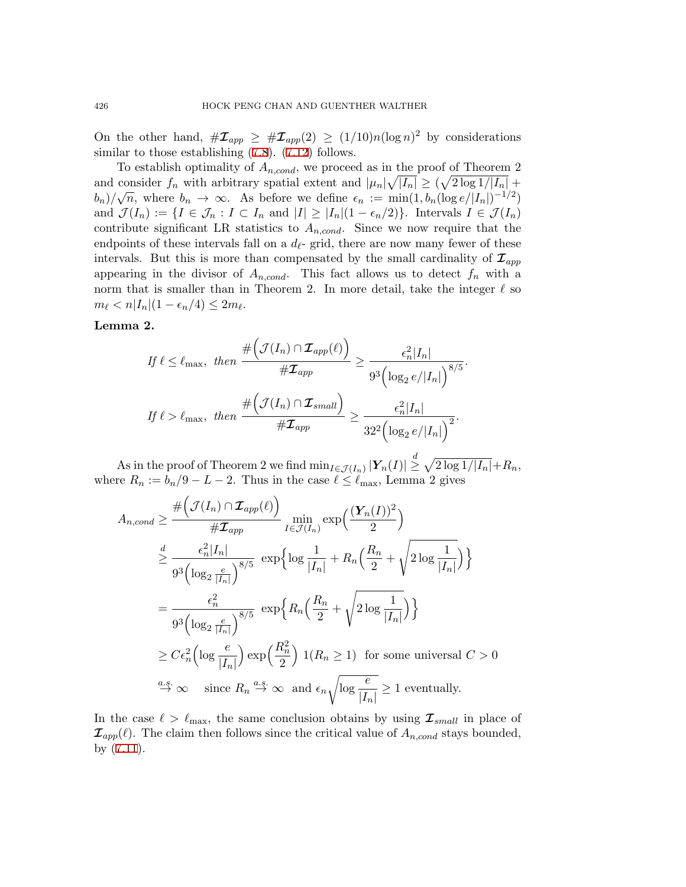On the other hand,  $\#\mathcal{I}_{app} \geq \#\mathcal{I}_{app}(2) \geq (1/10)n(\log n)^2$  by considerations similar to those establishing  $(7.8)$  $(7.8)$ .  $(7.12)$  $(7.12)$  $(7.12)$  follows.

To establish optimality of  $A_{n,cond}$ , we proceed as in the proof of Theorem 2 and consider  $f_n$  with arbitrary spatial extent and  $|\mu_n|\sqrt{|I_n|} \geq (\sqrt{2 \log 1/|I_n|} +$ *b*<sub>n</sub>)/ $\sqrt{n}$ , where *b*<sub>n</sub>  $\rightarrow \infty$ . As before we define  $\epsilon_n := \min(1, b_n (\log e/|I_n|)^{-1/2})$ and  $\mathcal{J}(I_n) := \{I \in \mathcal{J}_n : I \subset I_n \text{ and } |I| \geq |I_n|(1 - \epsilon_n/2)\}\.$  Intervals  $I \in \mathcal{J}(I_n)$ contribute significant LR statistics to  $A_{n,cond}$ . Since we now require that the endpoints of these intervals fall on a  $d_{\ell}$ - grid, there are now many fewer of these intervals. But this is more than compensated by the small cardinality of  $\mathcal{I}_{app}$ appearing in the divisor of  $A_{n,cond}$ . This fact allows us to detect  $f_n$  with a norm that is smaller than in Theorem 2. In more detail, take the integer  $\ell$  so  $m_{\ell} < n |I_n| (1 - \epsilon_n/4) \leq 2m_{\ell}.$ 

### **Lemma 2.**

$$
If \ell \leq \ell_{\max}, then \frac{\# \left( \mathcal{J}(I_n) \cap \mathcal{I}_{app}(\ell) \right)}{\# \mathcal{I}_{app}} \geq \frac{\epsilon_n^2 |I_n|}{9^3 \left( \log_2 e / |I_n| \right)^{8/5}}.
$$
  
If  $\ell > \ell_{\max}$ , then 
$$
\frac{\# \left( \mathcal{J}(I_n) \cap \mathcal{I}_{small} \right)}{\# \mathcal{I}_{app}} \geq \frac{\epsilon_n^2 |I_n|}{32^2 \left( \log_2 e / |I_n| \right)^2}.
$$

 $\int_{0}^{R} \int_{0}^{R} |Y_{n}(I)| \leq \int_{0}^{R} \int_{0}^{R} |Y_{n}(I)| \leq \int_{0}^{R} \int_{0}^{R} |Y_{n}(I)| \leq \int_{0}^{R} \int_{0}^{R} |Y_{n}(I)| \leq R$ where  $R_n := b_n/9 - L - 2$ . Thus in the case  $\ell \leq \ell_{\max}$ , Lemma 2 gives

$$
A_{n,cond} \geq \frac{\# \left( \mathcal{J}(I_n) \cap \mathcal{I}_{app}(\ell) \right)}{\# \mathcal{I}_{app}} \min_{I \in \mathcal{J}(I_n)} \exp \left( \frac{(\mathbf{Y}_n(I))^2}{2} \right)
$$
  

$$
\geq \frac{d}{9^3 \left( \log_2 \frac{e}{|I_n|} \right)^{8/5}} \exp \left\{ \log \frac{1}{|I_n|} + R_n \left( \frac{R_n}{2} + \sqrt{2 \log \frac{1}{|I_n|}} \right) \right\}
$$
  

$$
= \frac{\epsilon_n^2}{9^3 \left( \log_2 \frac{e}{|I_n|} \right)^{8/5}} \exp \left\{ R_n \left( \frac{R_n}{2} + \sqrt{2 \log \frac{1}{|I_n|}} \right) \right\}
$$
  

$$
\geq C \epsilon_n^2 \left( \log \frac{e}{|I_n|} \right) \exp \left( \frac{R_n^2}{2} \right) \mathbf{1}(R_n \geq 1) \text{ for some universal } C > 0
$$
  

$$
\stackrel{a.s.}{\to} \infty \text{ since } R_n \stackrel{a.s.}{\to} \infty \text{ and } \epsilon_n \sqrt{\log \frac{e}{|I_n|}} \geq 1 \text{ eventually.}
$$

In the case  $\ell > \ell_{\text{max}}$ , the same conclusion obtains by using  $\mathcal{I}_{small}$  in place of  $\mathcal{I}_{app}(\ell)$ . The claim then follows since the critical value of  $A_{n,cond}$  stays bounded, by [\(7.11\)](#page-16-2).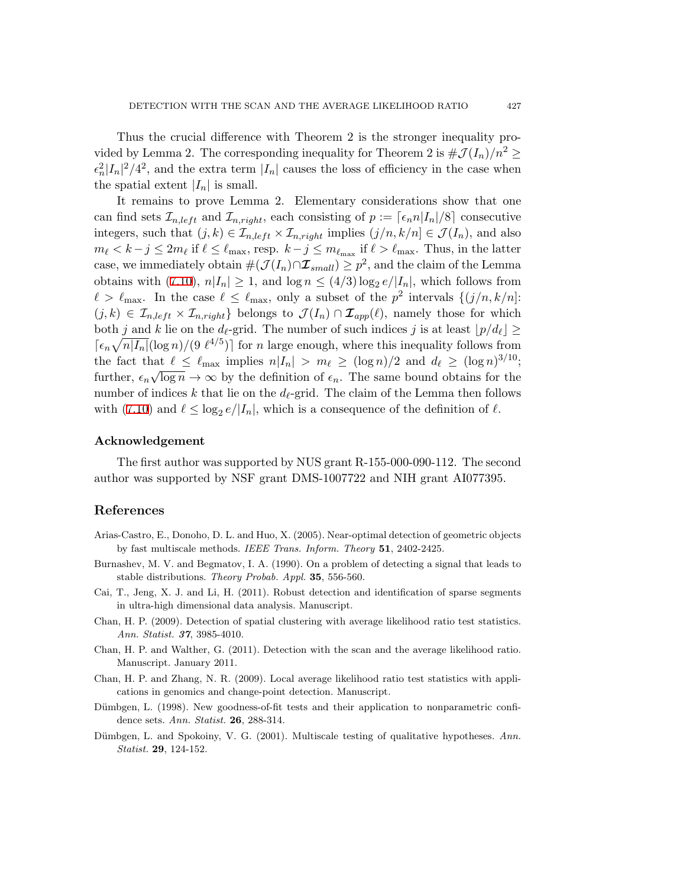Thus the crucial difference with Theorem 2 is the stronger inequality provided by Lemma 2. The corresponding inequality for Theorem 2 is  $\#\mathcal{J}(I_n)/n^2 \geq$  $\epsilon_n^2 |I_n|^2/4^2$ , and the extra term  $|I_n|$  causes the loss of efficiency in the case when the spatial extent  $|I_n|$  is small.

It remains to prove Lemma 2. Elementary considerations show that one can find sets  $\mathcal{I}_{n, left}$  and  $\mathcal{I}_{n, right}$ , each consisting of  $p := \lceil \epsilon_n n |I_n|/8 \rceil$  consecutive integers, such that  $(j, k) \in \mathcal{I}_{n, left} \times \mathcal{I}_{n, right}$  implies  $(j/n, k/n] \in \mathcal{J}(I_n)$ , and also  $m_{\ell} < k - j \leq 2m_{\ell}$  if  $\ell \leq \ell_{\max}$ , resp.  $k - j \leq m_{\ell_{\max}}$  if  $\ell > \ell_{\max}$ . Thus, in the latter case, we immediately obtain  $\#(\mathcal{J}(I_n) \cap \mathcal{I}_{small}) \geq p^2$ , and the claim of the Lemma obtains with ([7.10](#page-16-0)),  $n|I_n| \geq 1$ , and  $\log n \leq (4/3) \log_2 e / |I_n|$ , which follows from  $\ell > \ell_{\max}$ . In the case  $\ell \leq \ell_{\max}$ , only a subset of the  $p^2$  intervals  $\{(j/n, k/n]:$  $(j, k) \in \mathcal{I}_{n, left} \times \mathcal{I}_{n, right}$  belongs to  $\mathcal{J}(I_n) \cap \mathcal{I}_{app}(\ell)$ , namely those for which both *j* and *k* lie on the *d*<sub>*l*</sub>-grid. The number of such indices *j* is at least  $|p/d_{\ell}| \ge$  $\lceil \epsilon_n \sqrt{n|I_n|} (\log n) / (9 \ell^{4/5}) \rceil$  for *n* large enough, where this inequality follows from the fact that  $\ell \leq \ell_{\max}$  implies  $n|I_n| > m_{\ell} \geq (\log n)/2$  and  $d_{\ell} \geq (\log n)^{3/10}$ ; further,  $\epsilon_n \sqrt{\log n} \to \infty$  by the definition of  $\epsilon_n$ . The same bound obtains for the number of indices  $k$  that lie on the  $d_{\ell}$ -grid. The claim of the Lemma then follows with ([7.10](#page-16-0)) and  $\ell \leq \log_2 e / |I_n|$ , which is a consequence of the definition of  $\ell$ .

#### **Acknowledgement**

The first author was supported by NUS grant R-155-000-090-112. The second author was supported by NSF grant DMS-1007722 and NIH grant AI077395.

# **References**

- <span id="page-18-4"></span>Arias-Castro, E., Donoho, D. L. and Huo, X. (2005). Near-optimal detection of geometric objects by fast multiscale methods. *IEEE Trans. Inform. Theory* **51**, 2402-2425.
- <span id="page-18-1"></span>Burnashev, M. V. and Begmatov, I. A. (1990). On a problem of detecting a signal that leads to stable distributions. *Theory Probab. Appl.* **35**, 556-560.
- <span id="page-18-7"></span>Cai, T., Jeng, X. J. and Li, H. (2011). Robust detection and identification of sparse segments in ultra-high dimensional data analysis. Manuscript.
- <span id="page-18-0"></span>Chan, H. P. (2009). Detection of spatial clustering with average likelihood ratio test statistics. *Ann. Statist. 37*, 3985-4010.
- <span id="page-18-6"></span>Chan, H. P. and Walther, G. (2011). Detection with the scan and the average likelihood ratio. Manuscript. January 2011.
- <span id="page-18-3"></span>Chan, H. P. and Zhang, N. R. (2009). Local average likelihood ratio test statistics with applications in genomics and change-point detection. Manuscript.
- <span id="page-18-2"></span>Dümbgen, L. (1998). New goodness-of-fit tests and their application to nonparametric confidence sets. *Ann. Statist.* **26**, 288-314.
- <span id="page-18-5"></span>Dümbgen, L. and Spokoiny, V. G. (2001). Multiscale testing of qualitative hypotheses. Ann. *Statist.* **29**, 124-152.